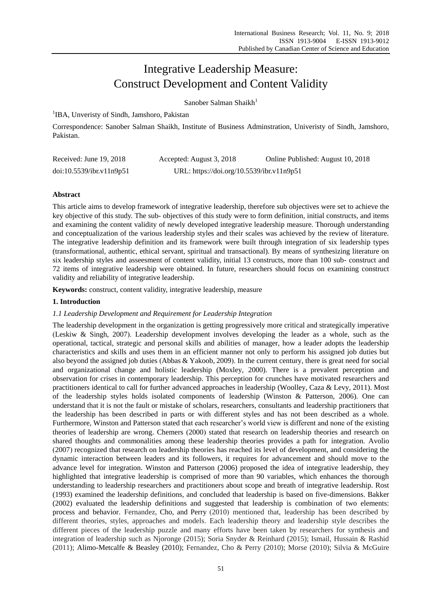# Integrative Leadership Measure: Construct Development and Content Validity

Sanober Salman Shaikh $<sup>1</sup>$ </sup>

<sup>1</sup>IBA, Unveristy of Sindh, Jamshoro, Pakistan

Correspondence: Sanober Salman Shaikh, Institute of Business Adminstration, Univeristy of Sindh, Jamshoro, Pakistan.

| Received: June 19, 2018  | Accepted: August 3, 2018                  | Online Published: August 10, 2018 |
|--------------------------|-------------------------------------------|-----------------------------------|
| doi:10.5539/ibr.v11n9p51 | URL: https://doi.org/10.5539/ibr.v11n9p51 |                                   |

# **Abstract**

This article aims to develop framework of integrative leadership, therefore sub objectives were set to achieve the key objective of this study. The sub- objectives of this study were to form definition, initial constructs, and items and examining the content validity of newly developed integrative leadership measure. Thorough understanding and conceptualization of the various leadership styles and their scales was achieved by the review of literature. The integrative leadership definition and its framework were built through integration of six leadership types (transformational, authentic, ethical servant, spiritual and transactional). By means of synthesizing literature on six leadership styles and asseesment of content validity, initial 13 constructs, more than 100 sub- construct and 72 items of integrative leadership were obtained. In future, researchers should focus on examining construct validity and reliability of integrative leadership.

**Keywords:** construct, content validity, integrative leadership, measure

# **1. Introduction**

# *1.1 Leadership Development and Requirement for Leadership Integration*

The leadership development in the organization is getting progressively more critical and strategically imperative (Leskiw & Singh, 2007). Leadership development involves developing the leader as a whole, such as the operational, tactical, strategic and personal skills and abilities of manager, how a leader adopts the leadership characteristics and skills and uses them in an efficient manner not only to perform his assigned job duties but also beyond the assigned job duties (Abbas & Yakoob, 2009). In the current century, there is great need for social and organizational change and holistic leadership (Moxley, 2000). There is a prevalent perception and observation for crises in contemporary leadership. This perception for crunches have motivated researchers and practitioners identical to call for further advanced approaches in leadership (Woolley, Caza & Levy, 2011). Most of the leadership styles holds isolated components of leadership (Winston & Patterson, 2006). One can understand that it is not the fault or mistake of scholars, researchers, consultants and leadership practitioners that the leadership has been described in parts or with different styles and has not been described as a whole. Furthermore, Winston and Patterson stated that each researcher's world view is different and none of the existing theories of leadership are wrong. Chemers (2000) stated that research on leadership theories and research on shared thoughts and commonalities among these leadership theories provides a path for integration. Avolio (2007) recognized that research on leadership theories has reached its level of development, and considering the dynamic interaction between leaders and its followers, it requires for advancement and should move to the advance level for integration. Winston and Patterson (2006) proposed the idea of integrative leadership, they highlighted that integrative leadership is comprised of more than 90 variables, which enhances the thorough understanding to leadership researchers and practitioners about scope and breath of integrative leadership. Rost (1993) examined the leadership definitions, and concluded that leadership is based on five-dimensions. Bakker (2002) evaluated the leadership definitions and suggested that leadership is combination of two elements: process and behavior. Fernandez, Cho, and Perry (2010) mentioned that, leadership has been described by different theories, styles, approaches and models. Each leadership theory and leadership style describes the different pieces of the leadership puzzle and many efforts have been taken by researchers for synthesis and integration of leadership such as Njoronge (2015); Soria Snyder & Reinhard (2015); Ismail, Hussain & Rashid (2011); Alimo-Metcalfe & Beasley (2010); Fernandez, Cho & Perry (2010); Morse (2010); Silvia & McGuire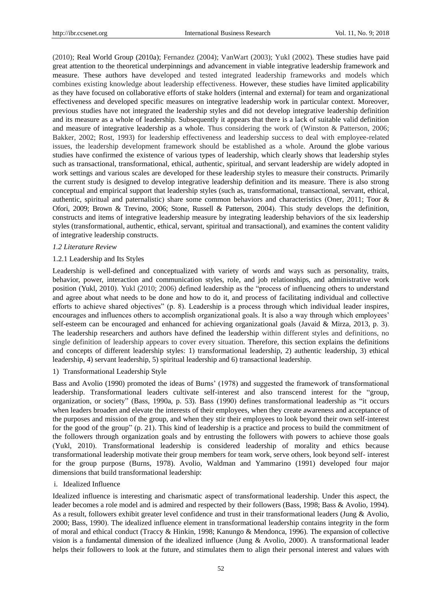(2010); Real World Group (2010a); Fernandez (2004); VanWart (2003); Yukl (2002). These studies have paid great attention to the theoretical underpinnings and advancement in viable integrative leadership framework and measure. These authors have developed and tested integrated leadership frameworks and models which combines existing knowledge about leadership effectiveness. However, these studies have limited applicability as they have focused on collaborative efforts of stake holders (internal and external) for team and organizational effectiveness and developed specific measures on integrative leadership work in particular context. Moreover, previous studies have not integrated the leadership styles and did not develop integrative leadership definition and its measure as a whole of leadership. Subsequently it appears that there is a lack of suitable valid definition and measure of integrative leadership as a whole. Thus considering the work of (Winston & Patterson, 2006; Bakker, 2002; Rost, 1993) for leadership effectiveness and leadership success to deal with employee-related issues, the leadership development framework should be established as a whole. Around the globe various studies have confirmed the existence of various types of leadership, which clearly shows that leadership styles such as transactional, transformational, ethical, authentic, spiritual, and servant leadership are widely adopted in work settings and various scales are developed for these leadership styles to measure their constructs. Primarily the current study is designed to develop integrative leadership definition and its measure. There is also strong conceptual and empirical support that leadership styles (such as, transformational, transactional, servant, ethical, authentic, spiritual and paternalistic) share some common behaviors and characteristics (Oner, 2011; Toor & Ofori, 2009; Brown & Trevino, 2006; Stone, Russell & Patterson, 2004). This study develops the definition, constructs and items of integrative leadership measure by integrating leadership behaviors of the six leadership styles (transformational, authentic, ethical, servant, spiritual and transactional), and examines the content validity of integrative leadership constructs.

## *1.2 Literature Review*

## 1.2.1 Leadership and Its Styles

Leadership is well-defined and conceptualized with variety of words and ways such as personality, traits, behavior, power, interaction and communication styles, role, and job relationships, and administrative work position (Yukl, 2010). Yukl (2010; 2006) defined leadership as the "process of influencing others to understand and agree about what needs to be done and how to do it, and process of facilitating individual and collective efforts to achieve shared objectives" (p. 8). Leadership is a process through which individual leader inspires, encourages and influences others to accomplish organizational goals. It is also a way through which employees' self-esteem can be encouraged and enhanced for achieving organizational goals (Javaid & Mirza, 2013, p. 3). The leadership researchers and authors have defined the leadership within different styles and definitions, no single definition of leadership appears to cover every situation. Therefore, this section explains the definitions and concepts of different leadership styles: 1) transformational leadership, 2) authentic leadership, 3) ethical leadership, 4) servant leadership, 5) spiritual leadership and 6) transactional leadership.

## 1) Transformational Leadership Style

Bass and Avolio (1990) promoted the ideas of Burns' (1978) and suggested the framework of transformational leadership. Transformational leaders cultivate self-interest and also transcend interest for the "group, organization, or society" (Bass, 1990a, p. 53). Bass (1990) defines transformational leadership as "it occurs when leaders broaden and elevate the interests of their employees, when they create awareness and acceptance of the purposes and mission of the group, and when they stir their employees to look beyond their own self-interest for the good of the group" (p. 21). This kind of leadership is a practice and process to build the commitment of the followers through organization goals and by entrusting the followers with powers to achieve those goals (Yukl, 2010). Transformational leadership is considered leadership of morality and ethics because transformational leadership motivate their group members for team work, serve others, look beyond self- interest for the group purpose (Burns, 1978). Avolio, Waldman and Yammarino (1991) developed four major dimensions that build transformational leadership:

## i. Idealized Influence

Idealized influence is interesting and charismatic aspect of transformational leadership. Under this aspect, the leader becomes a role model and is admired and respected by their followers (Bass, 1998; Bass & Avolio, 1994). As a result, followers exhibit greater level confidence and trust in their transformational leaders (Jung & Avolio, 2000; Bass, 1990). The idealized influence element in transformational leadership contains integrity in the form of moral and ethical conduct (Traccy & Hinkin, 1998; Kanungo & Mendonca, 1996). The expansion of collective vision is a fundamental dimension of the idealized influence (Jung & Avolio, 2000). A transformational leader helps their followers to look at the future, and stimulates them to align their personal interest and values with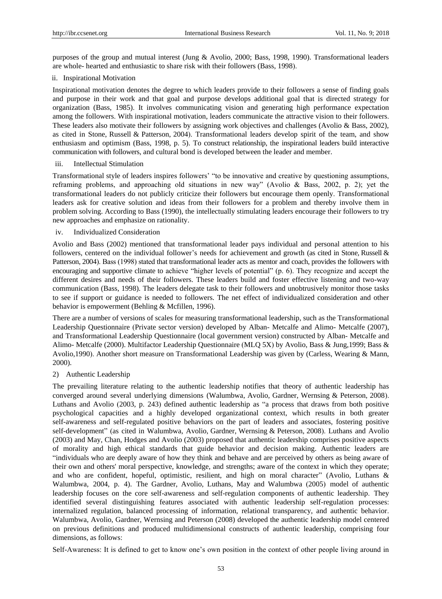purposes of the group and mutual interest (Jung & Avolio, 2000; Bass, 1998, 1990). Transformational leaders are whole- hearted and enthusiastic to share risk with their followers (Bass, 1998).

## ii. Inspirational Motivation

Inspirational motivation denotes the degree to which leaders provide to their followers a sense of finding goals and purpose in their work and that goal and purpose develops additional goal that is directed strategy for organization (Bass, 1985). It involves communicating vision and generating high performance expectation among the followers. With inspirational motivation, leaders communicate the attractive vision to their followers. These leaders also motivate their followers by assigning work objectives and challenges (Avolio & Bass, 2002), as cited in Stone, Russell & Patterson, 2004). Transformational leaders develop spirit of the team, and show enthusiasm and optimism (Bass, 1998, p. 5). To construct relationship, the inspirational leaders build interactive communication with followers, and cultural bond is developed between the leader and member.

## iii. Intellectual Stimulation

Transformational style of leaders inspires followers' "to be innovative and creative by questioning assumptions, reframing problems, and approaching old situations in new way" (Avolio & Bass, 2002, p. 2); yet the transformational leaders do not publicly criticize their followers but encourage them openly. Transformational leaders ask for creative solution and ideas from their followers for a problem and thereby involve them in problem solving. According to Bass (1990), the intellectually stimulating leaders encourage their followers to try new approaches and emphasize on rationality.

## iv. Individualized Consideration

Avolio and Bass (2002) mentioned that transformational leader pays individual and personal attention to his followers, centered on the individual follower's needs for achievement and growth (as cited in Stone, Russell & Patterson, 2004). Bass (1998) stated that transformational leader acts as mentor and coach, provides the followers with encouraging and supportive climate to achieve "higher levels of potential" (p. 6). They recognize and accept the different desires and needs of their followers. These leaders build and foster effective listening and two-way communication (Bass, 1998). The leaders delegate task to their followers and unobtrusively monitor those tasks to see if support or guidance is needed to followers. The net effect of individualized consideration and other behavior is empowerment (Behling & Mcfillen, 1996).

There are a number of versions of scales for measuring transformational leadership, such as the Transformational Leadership Questionnaire (Private sector version) developed by Alban- Metcalfe and Alimo- Metcalfe (2007), and Transformational Leadership Questionnaire (local government version) constructed by Alban- Metcalfe and Alimo- Metcalfe (2000). Multifactor Leadership Questionnaire (MLQ 5X) by Avolio, Bass & Jung,1999; Bass & Avolio,1990). Another short measure on Transformational Leadership was given by (Carless, Wearing & Mann, 2000).

## 2) Authentic Leadership

The prevailing literature relating to the authentic leadership notifies that theory of authentic leadership has converged around several underlying dimensions (Walumbwa, Avolio, Gardner, Wernsing & Peterson, 2008). Luthans and Avolio (2003, p. 243) defined authentic leadership as "a process that draws from both positive psychological capacities and a highly developed organizational context, which results in both greater self-awareness and self-regulated positive behaviors on the part of leaders and associates, fostering positive self-development" (as cited in Walumbwa, Avolio, Gardner, Wernsing & Peterson, 2008). Luthans and Avolio (2003) and May, Chan, Hodges and Avolio (2003) proposed that authentic leadership comprises positive aspects of morality and high ethical standards that guide behavior and decision making. Authentic leaders are "individuals who are deeply aware of how they think and behave and are perceived by others as being aware of their own and others' moral perspective, knowledge, and strengths; aware of the context in which they operate; and who are confident, hopeful, optimistic, resilient, and high on moral character" (Avolio, Luthans & Walumbwa, 2004, p. 4). The Gardner, Avolio, Luthans, May and Walumbwa (2005) model of authentic leadership focuses on the core self-awareness and self-regulation components of authentic leadership. They identified several distinguishing features associated with authentic leadership self-regulation processes: internalized regulation, balanced processing of information, relational transparency, and authentic behavior. Walumbwa, Avolio, Gardner, Wernsing and Peterson (2008) developed the authentic leadership model centered on previous definitions and produced multidimensional constructs of authentic leadership, comprising four dimensions, as follows:

Self-Awareness: It is defined to get to know one's own position in the context of other people living around in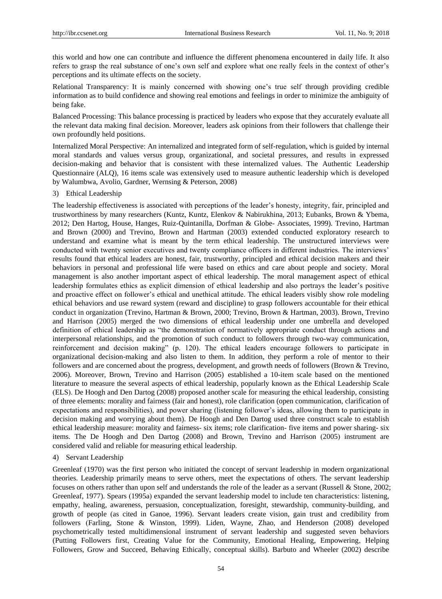this world and how one can contribute and influence the different phenomena encountered in daily life. It also refers to grasp the real substance of one's own self and explore what one really feels in the context of other's perceptions and its ultimate effects on the society.

Relational Transparency: It is mainly concerned with showing one's true self through providing credible information as to build confidence and showing real emotions and feelings in order to minimize the ambiguity of being fake.

Balanced Processing: This balance processing is practiced by leaders who expose that they accurately evaluate all the relevant data making final decision. Moreover, leaders ask opinions from their followers that challenge their own profoundly held positions.

Internalized Moral Perspective: An internalized and integrated form of self-regulation, which is guided by internal moral standards and values versus group, organizational, and societal pressures, and results in expressed decision-making and behavior that is consistent with these internalized values. The Authentic Leadership Questionnaire (ALQ), 16 items scale was extensively used to measure authentic leadership which is developed by Walumbwa, Avolio, Gardner, Wernsing & Peterson, 2008)

3) Ethical Leadership

The leadership effectiveness is associated with perceptions of the leader's honesty, integrity, fair, principled and trustworthiness by many researchers (Kuntz, Kuntz, Elenkov & Nabirukhina, 2013; Eubanks, Brown & Ybema, 2012; Den Hartog, House, Hanges, Ruiz-Quintanilla, Dorfman & Globe- Associates, 1999). Trevino, Hartman and Brown (2000) and Trevino, Brown and Hartman (2003) extended conducted exploratory research to understand and examine what is meant by the term ethical leadership. The unstructured interviews were conducted with twenty senior executives and twenty compliance officers in different industries. The interviews' results found that ethical leaders are honest, fair, trustworthy, principled and ethical decision makers and their behaviors in personal and professional life were based on ethics and care about people and society. Moral management is also another important aspect of ethical leadership. The moral management aspect of ethical leadership formulates ethics as explicit dimension of ethical leadership and also portrays the leader's positive and proactive effect on follower's ethical and unethical attitude. The ethical leaders visibly show role modeling ethical behaviors and use reward system (reward and discipline) to grasp followers accountable for their ethical conduct in organization (Trevino, Hartman & Brown, 2000; Trevino, Brown & Hartman, 2003). Brown, Trevino and Harrison (2005) merged the two dimensions of ethical leadership under one umbrella and developed definition of ethical leadership as "the demonstration of normatively appropriate conduct through actions and interpersonal relationships, and the promotion of such conduct to followers through two-way communication, reinforcement and decision making" (p. 120). The ethical leaders encourage followers to participate in organizational decision-making and also listen to them. In addition, they perform a role of mentor to their followers and are concerned about the progress, development, and growth needs of followers (Brown & Trevino, 2006). Moreover, Brown, Trevino and Harrison (2005) established a 10-item scale based on the mentioned literature to measure the several aspects of ethical leadership, popularly known as the Ethical Leadership Scale (ELS). De Hoogh and Den Dartog (2008) proposed another scale for measuring the ethical leadership, consisting of three elements: morality and fairness (fair and honest), role clarification (open communication, clarification of expectations and responsibilities), and power sharing (listening follower's ideas, allowing them to participate in decision making and worrying about them). De Hoogh and Den Dartog used three construct scale to establish ethical leadership measure: morality and fairness- six items; role clarification- five items and power sharing- six items. The De Hoogh and Den Dartog (2008) and Brown, Trevino and Harrison (2005) instrument are considered valid and reliable for measuring ethical leadership.

#### 4) Servant Leadership

Greenleaf (1970) was the first person who initiated the concept of servant leadership in modern organizational theories. Leadership primarily means to serve others, meet the expectations of others. The servant leadership focuses on others rather than upon self and understands the role of the leader as a servant (Russell & Stone, 2002; Greenleaf, 1977). Spears (1995a) expanded the servant leadership model to include ten characteristics: listening, empathy, healing, awareness, persuasion, conceptualization, foresight, stewardship, community-building, and growth of people (as cited in Ganoe, 1996). Servant leaders create vision, gain trust and credibility from followers (Farling, Stone & Winston, 1999). Liden, Wayne, Zhao, and Henderson (2008) developed psychometrically tested multidimensional instrument of servant leadership and suggested seven behaviors (Putting Followers first, Creating Value for the Community, Emotional Healing, Empowering, Helping Followers, Grow and Succeed, Behaving Ethically, conceptual skills). Barbuto and Wheeler (2002) describe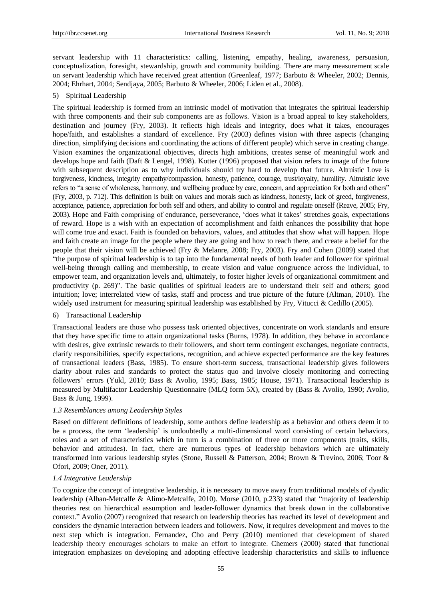servant leadership with 11 characteristics: calling, listening, empathy, healing, awareness, persuasion, conceptualization, foresight, stewardship, growth and community building. There are many measurement scale on servant leadership which have received great attention (Greenleaf, 1977; Barbuto & Wheeler, 2002; Dennis, 2004; Ehrhart, 2004; Sendjaya, 2005; Barbuto & Wheeler, 2006; Liden et al., 2008).

## 5) Spiritual Leadership

The spiritual leadership is formed from an intrinsic model of motivation that integrates the spiritual leadership with three components and their sub components are as follows. Vision is a broad appeal to key stakeholders, destination and journey (Fry, 2003). It reflects high ideals and integrity, does what it takes, encourages hope/faith, and establishes a standard of excellence. Fry (2003) defines vision with three aspects (changing direction, simplifying decisions and coordinating the actions of different people) which serve in creating change. Vision examines the organizational objectives, directs high ambitions, creates sense of meaningful work and develops hope and faith (Daft & Lengel, 1998). Kotter (1996) proposed that vision refers to image of the future with subsequent description as to why individuals should try hard to develop that future. Altruistic Love is forgiveness, kindness, integrity empathy/compassion, honesty, patience, courage, trust/loyalty, humility. Altruistic love refers to "a sense of wholeness, harmony, and wellbeing produce by care, concern, and appreciation for both and others" (Fry, 2003, p. 712). This definition is built on values and morals such as kindness, honesty, lack of greed, forgiveness, acceptance, patience, appreciation for both self and others, and ability to control and regulate oneself (Reave, 2005; Fry, 2003). Hope and Faith comprising of endurance, perseverance, 'does what it takes' stretches goals, expectations of reward. Hope is a wish with an expectation of accomplishment and faith enhances the possibility that hope will come true and exact. Faith is founded on behaviors, values, and attitudes that show what will happen. Hope and faith create an image for the people where they are going and how to reach there, and create a belief for the people that their vision will be achieved (Fry & Melanre, 2008; Fry, 2003). Fry and Cohen (2009) stated that "the purpose of spiritual leadership is to tap into the fundamental needs of both leader and follower for spiritual well-being through calling and membership, to create vision and value congruence across the individual, to empower team, and organization levels and, ultimately, to foster higher levels of organizational commitment and productivity (p. 269)". The basic qualities of spiritual leaders are to understand their self and others; good intuition; love; interrelated view of tasks, staff and process and true picture of the future (Altman, 2010). The widely used instrument for measuring spiritual leadership was established by Fry, Vitucci & Cedillo (2005).

#### 6) Transactional Leadership

Transactional leaders are those who possess task oriented objectives, concentrate on work standards and ensure that they have specific time to attain organizational tasks (Burns, 1978). In addition, they behave in accordance with desires, give extrinsic rewards to their followers, and short term contingent exchanges, negotiate contracts, clarify responsibilities, specify expectations, recognition, and achieve expected performance are the key features of transactional leaders (Bass, 1985). To ensure short-term success, transactional leadership gives followers clarity about rules and standards to protect the status quo and involve closely monitoring and correcting followers' errors (Yukl, 2010; Bass & Avolio, 1995; Bass, 1985; House, 1971). Transactional leadership is measured by Multifactor Leadership Questionnaire (MLQ form 5X), created by (Bass & Avolio, 1990; Avolio, Bass & Jung, 1999).

#### *1.3 Resemblances among Leadership Styles*

Based on different definitions of leadership, some authors define leadership as a behavior and others deem it to be a process, the term 'leadership' is undoubtedly a multi-dimensional word consisting of certain behaviors, roles and a set of characteristics which in turn is a combination of three or more components (traits, skills, behavior and attitudes). In fact, there are numerous types of leadership behaviors which are ultimately transformed into various leadership styles (Stone, Russell & Patterson, 2004; Brown & Trevino, 2006; Toor & Ofori, 2009; Oner, 2011).

#### *1.4 Integrative Leadership*

To cognize the concept of integrative leadership, it is necessary to move away from traditional models of dyadic leadership (Alban-Metcalfe & Alimo-Metcalfe, 2010). Morse (2010, p.233) stated that "majority of leadership theories rest on hierarchical assumption and leader-follower dynamics that break down in the collaborative context." Avolio (2007) recognized that research on leadership theories has reached its level of development and considers the dynamic interaction between leaders and followers. Now, it requires development and moves to the next step which is integration. Fernandez, Cho and Perry (2010) mentioned that development of shared leadership theory encourages scholars to make an effort to integrate. Chemers (2000) stated that functional integration emphasizes on developing and adopting effective leadership characteristics and skills to influence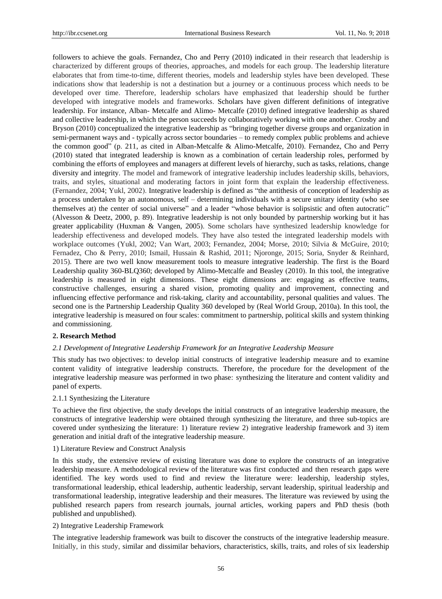followers to achieve the goals. Fernandez, Cho and Perry (2010) indicated in their research that leadership is characterized by different groups of theories, approaches, and models for each group. The leadership literature elaborates that from time-to-time, different theories, models and leadership styles have been developed. These indications show that leadership is not a destination but a journey or a continuous process which needs to be developed over time. Therefore, leadership scholars have emphasized that leadership should be further developed with integrative models and frameworks. Scholars have given different definitions of integrative leadership. For instance, Alban- Metcalfe and Alimo- Metcalfe (2010) defined integrative leadership as shared and collective leadership, in which the person succeeds by collaboratively working with one another. Crosby and Bryson (2010) conceptualized the integrative leadership as "bringing together diverse groups and organization in semi-permanent ways and - typically across sector boundaries – to remedy complex public problems and achieve the common good" (p. 211, as cited in Alban-Metcalfe & Alimo-Metcalfe, 2010). Fernandez, Cho and Perry (2010) stated that integrated leadership is known as a combination of certain leadership roles, performed by combining the efforts of employees and managers at different levels of hierarchy, such as tasks, relations, change diversity and integrity. The model and framework of integrative leadership includes leadership skills, behaviors, traits, and styles, situational and moderating factors in joint form that explain the leadership effectiveness. (Fernandez, 2004; Yukl, 2002). Integrative leadership is defined as "the antithesis of conception of leadership as a process undertaken by an autonomous, self – determining individuals with a secure unitary identity (who see themselves at) the center of social universe" and a leader "whose behavior is solipsistic and often autocratic" (Alvesson & Deetz, 2000, p. 89). Integrative leadership is not only bounded by partnership working but it has greater applicability (Huxman & Vangen, 2005). Some scholars have synthesized leadership knowledge for leadership effectiveness and developed models. They have also tested the integrated leadership models with workplace outcomes (Yukl, 2002; Van Wart, 2003; Fernandez, 2004; Morse, 2010; Silvia & McGuire, 2010; Fernadez, Cho & Perry, 2010; Ismail, Hussain & Rashid, 2011; Njoronge, 2015; Soria, Snyder & Reinhard, 2015). There are two well know measurement tools to measure integrative leadership. The first is the Board Leadership quality 360-BLQ360; developed by Alimo-Metcalfe and Beasley (2010). In this tool, the integrative leadership is measured in eight dimensions. These eight dimensions are: engaging as effective teams, constructive challenges, ensuring a shared vision, promoting quality and improvement, connecting and influencing effective performance and risk-taking, clarity and accountability, personal qualities and values. The second one is the Partnership Leadership Quality 360 developed by (Real World Group, 2010a). In this tool, the integrative leadership is measured on four scales: commitment to partnership, political skills and system thinking and commissioning.

## **2. Research Method**

## *2.1 Development of Integrative Leadership Framework for an Integrative Leadership Measure*

This study has two objectives: to develop initial constructs of integrative leadership measure and to examine content validity of integrative leadership constructs. Therefore, the procedure for the development of the integrative leadership measure was performed in two phase: synthesizing the literature and content validity and panel of experts.

## 2.1.1 Synthesizing the Literature

To achieve the first objective, the study develops the initial constructs of an integrative leadership measure, the constructs of integrative leadership were obtained through synthesizing the literature, and three sub-topics are covered under synthesizing the literature: 1) literature review 2) integrative leadership framework and 3) item generation and initial draft of the integrative leadership measure.

#### 1) Literature Review and Construct Analysis

In this study, the extensive review of existing literature was done to explore the constructs of an integrative leadership measure. A methodological review of the literature was first conducted and then research gaps were identified. The key words used to find and review the literature were: leadership, leadership styles, transformational leadership, ethical leadership, authentic leadership, servant leadership, spiritual leadership and transformational leadership, integrative leadership and their measures. The literature was reviewed by using the published research papers from research journals, journal articles, working papers and PhD thesis (both published and unpublished).

#### 2) Integrative Leadership Framework

The integrative leadership framework was built to discover the constructs of the integrative leadership measure. Initially, in this study, similar and dissimilar behaviors, characteristics, skills, traits, and roles of six leadership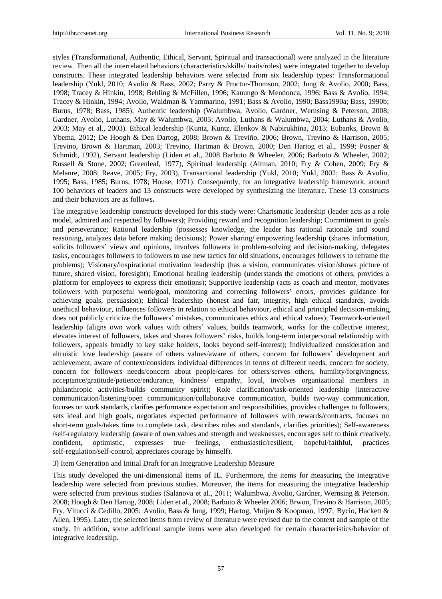styles (Transformational, Authentic, Ethical, Servant, Spiritual and transactional) were analyzed in the literature review. Then all the interrelated behaviors (characteristics/skills/ traits/roles) were integrated together to develop constructs. These integrated leadership behaviors were selected from six leadership types: Transformational leadership (Yukl, 2010; Avolio & Bass, 2002; Parry & Proctor-Thomson, 2002; Jung & Avolio, 2000; Bass, 1998; Tracey & Hinkin, 1998; Behling & McFillen, 1996; Kanungo & Mendonca, 1996; Bass & Avolio, 1994; Tracey & Hinkin, 1994; Avolio, Waldman & Yammarino, 1991; Bass & Avolio, 1990; Bass1990a; Bass, 1990b; Burns, 1978; Bass, 1985), Authentic leadership (Walumbwa, Avolio, Gardner, Wernsing & Peterson, 2008; Gardner, Avolio, Luthans, May & Walumbwa, 2005; Avolio, Luthans & Walumbwa, 2004; Luthans & Avolio, 2003; May et al., 2003). Ethical leadership (Kuntz, Kuntz, Elenkov & Nabirukhina, 2013; Eubanks, Brown & Ybema, 2012; De Hoogh & Den Dartog, 2008; Brown & Treviño, 2006; Brown, Trevino & Harrison, 2005; Trevino, Brown & Hartman, 2003; Trevino, Hartman & Brown, 2000; Den Hartog et al., 1999; Posner & Schmidt, 1992), Servant leadership (Liden et al., 2008 Barbuto & Wheeler, 2006; Barbuto & Wheeler, 2002; Russell & Stone, 2002; Greenleaf, 1977), Spiritual leadership (Altman, 2010; Fry & Cohen, 2009; Fry & Melanre, 2008; Reave, 2005; Fry, 2003), Transactional leadership (Yukl, 2010; Yukl, 2002; Bass & Avolio, 1995; Bass, 1985; Burns, 1978; House, 1971). Consequently, for an integrative leadership framework, around 100 behaviors of leaders and 13 constructs were developed by synthesizing the literature. These 13 constructs and their behaviors are as follows**.**

The integrative leadership constructs developed for this study were: Charismatic leadership (leader acts as a role model, admired and respected by followers**)**; Providing reward and recognition leadership; Commitment to goals and perseverance; Rational leadership (possesses knowledge, the leader has rational rationale and sound reasoning, analyzes data before making decisions); Power sharing**/** empowering leadership **(**shares information, solicits followers' views and opinions, involves followers in problem-solving and decision-making, delegates tasks, encourages followers to followers to use new tactics for old situations, encourages followers to reframe the problems); Visionary**/**inspirational motivation leadership (has a vision, communicates vision/shows picture of future, shared vision, foresight); Emotional healing leadership **(**understands the emotions of others, provides a platform for employees to express their emotions); Supportive leadership (acts as coach and mentor, motivates followers with purposeful work/goal, monitoring and correcting followers' errors, provides guidance for achieving goals, persuasion); Ethical leadership (honest and fair, integrity, high ethical standards, avoids unethical behaviour, influences followers in relation to ethical behaviour, ethical and principled decision-making, does not publicly criticize the followers' mistakes, communicates ethics and ethical values); Teamwork**-**oriented leadership (aligns own work values with others' values, builds teamwork, works for the collective interest, elevates interest of followers, takes and shares followers' risks, builds long-term interpersonal relationship with followers, appeals broadly to key stake holders, looks beyond self-interest); Individualized consideration and altruistic love leadership (aware of others values/aware of others, concern for followers' development and achievement, aware of context/considers individual differences in terms of different needs, concern for society, concern for followers needs/concern about people/cares for others/serves others, humility/forgivingness, acceptance/gratitude/patience/endurance, kindness/ empathy, loyal, involves organizational members in philanthropic activities/builds community spirit); Role clarification**/**task**-**oriented leadership (interactive communication/listening/open communication/collaborative communication, builds two-way communication, focuses on work standards, clarifies performance expectation and responsibilities, provides challenges to followers, sets ideal and high goals, negotiates expected performance of followers with rewards/contracts, focuses on short-term goals/takes time to complete task, describes rules and standards, clarifies priorities); Self**-**awareness **/**self**-**regulatory leadership **(**aware of own values and strength and weaknesses, encourages self to think creatively, confident, optimistic, expresses true feelings, enthusiastic/resilient, hopeful/faithful, practices self-regulation/self-control, appreciates courage by himself).

3) Item Generation and Initial Draft for an Integrative Leadership Measure

This study developed the uni-dimensional items of IL. Furthermore, the items for measuring the integrative leadership were selected from previous studies. Moreover, the items for measuring the integrative leadership were selected from previous studies (Salanova et al., 2011; Walumbwa, Avolio, Gardner, Wernsing & Peterson, 2008; Hoogh & Den Hartog, 2008; Liden et al., 2008; Barbuto & Wheeler 2006; Brwon, Trevino & Harrison, 2005; Fry, Vitucci & Cedillo, 2005; Avolio, Bass & Jung, 1999; Hartog, Muijen & Koopman, 1997; Bycio, Hackett & Allen, 1995). Later, the selected items from review of literature were revised due to the context and sample of the study. In addition, some additional sample items were also developed for certain characteristics/behavior of integrative leadership.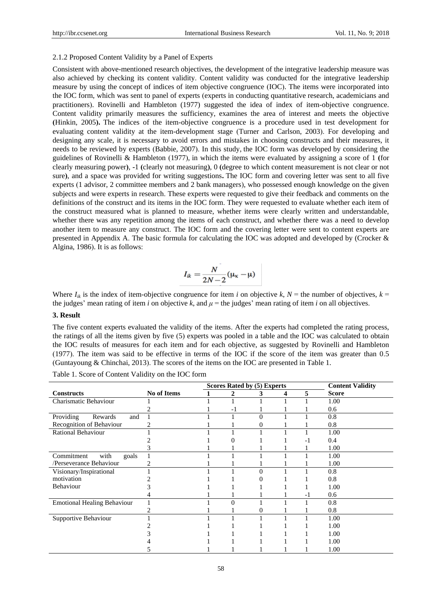#### 2.1.2 Proposed Content Validity by a Panel of Experts

Consistent with above-mentioned research objectives, the development of the integrative leadership measure was also achieved by checking its content validity. Content validity was conducted for the integrative leadership measure by using the concept of indices of item objective congruence (IOC). The items were incorporated into the IOC form, which was sent to panel of experts (experts in conducting quantitative research, academicians and practitioners). Rovinelli and Hambleton (1977) suggested the idea of index of item-objective congruence. Content validity primarily measures the sufficiency, examines the area of interest and meets the objective **(**Hinkin, 2005**).** The indices of the item-objective congruence is a procedure used in test development for evaluating content validity at the item-development stage (Turner and Carlson, 2003). For developing and designing any scale, it is necessary to avoid errors and mistakes in choosing constructs and their measures, it needs to be reviewed by experts (Babbie, 2007). In this study, the IOC form was developed by considering the guidelines of Rovinelli & Hambleton (1977), in which the items were evaluated by assigning a score of 1 **(**for clearly measuring power**)**, **-**1 **(**clearly not measuring**)**, 0 **(**degree to which content measurement is not clear or not sure**)**, and a space was provided for writing suggestions**.** The IOC form and covering letter was sent to all five experts (1 advisor, 2 committee members and 2 bank managers), who possessed enough knowledge on the given subjects and were experts in research. These experts were requested to give their feedback and comments on the definitions of the construct and its items in the IOC form. They were requested to evaluate whether each item of the construct measured what is planned to measure, whether items were clearly written and understandable, whether there was any repetition among the items of each construct, and whether there was a need to develop another item to measure any construct. The IOC form and the covering letter were sent to content experts are presented in Appendix A. The basic formula for calculating the IOC was adopted and developed by (Crocker & Algina, 1986). It is as follows:

$$
I_{ik}=\frac{N}{2N-2}(\mu_{\kappa}-\mu)
$$

Where  $I_{ik}$  is the index of item-objective congruence for item *i* on objective *k*,  $N =$  the number of objectives,  $k =$ the judges' mean rating of item *i* on objective *k*, and  $\mu$  = the judges' mean rating of item *i* on all objectives.

#### **3. Result**

The five content experts evaluated the validity of the items. After the experts had completed the rating process, the ratings of all the items given by five (5) experts was pooled in a table and the IOC was calculated to obtain the IOC results of measures for each item and for each objective, as suggested by Rovinelli and Hambleton (1977). The item was said to be effective in terms of the IOC if the score of the item was greater than 0.5 (Guntayoung & Chinchai, 2013). The scores of the items on the IOC are presented in Table 1.

|                                                 |                    | <b>Scores Rated by (5) Experts</b> |          |          | <b>Content Validity</b> |    |              |
|-------------------------------------------------|--------------------|------------------------------------|----------|----------|-------------------------|----|--------------|
| <b>Constructs</b>                               | <b>No of Items</b> |                                    | 2        |          | 4                       | 5  | <b>Score</b> |
| Charismatic Behaviour                           |                    |                                    |          |          |                         |    | 1.00         |
|                                                 |                    |                                    | -1       |          |                         |    | 0.6          |
| Providing<br>Rewards<br>and                     |                    |                                    |          | 0        |                         |    | 0.8          |
| Recognition of Behaviour                        |                    |                                    |          | 0        |                         |    | 0.8          |
| <b>Rational Behaviour</b>                       |                    |                                    |          |          |                         |    | 1.00         |
|                                                 |                    |                                    |          |          |                         | -1 | 0.4          |
|                                                 |                    |                                    |          |          |                         |    | 1.00         |
| $\overline{\text{Commitment}}$<br>with<br>goals |                    |                                    |          |          |                         |    | 1.00         |
| /Perseverance Behaviour                         |                    |                                    |          |          |                         |    | 1.00         |
| Visionary/Inspirational                         |                    |                                    |          | $\Omega$ |                         |    | 0.8          |
| motivation                                      |                    |                                    |          |          |                         |    | 0.8          |
| Behaviour                                       |                    |                                    |          |          |                         |    | 1.00         |
|                                                 |                    |                                    |          |          |                         | -1 | 0.6          |
| <b>Emotional Healing Behaviour</b>              |                    |                                    | $\theta$ |          |                         |    | 0.8          |
|                                                 |                    |                                    |          | 0        |                         |    | 0.8          |
| Supportive Behaviour                            |                    |                                    |          |          |                         |    | 1.00         |
|                                                 |                    |                                    |          |          |                         |    | 1.00         |
|                                                 |                    |                                    |          |          |                         |    | 1.00         |
|                                                 |                    |                                    |          |          |                         |    | 1.00         |
|                                                 |                    |                                    |          |          |                         |    | 1.00         |

Table 1. Score of Content Validity on the IOC form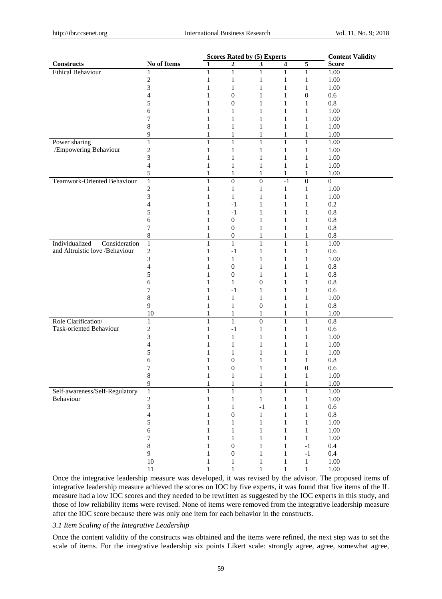|                                 |                              | <b>Scores Rated by (5) Experts</b> |                                  |                              | <b>Content Validity</b> |                            |                      |
|---------------------------------|------------------------------|------------------------------------|----------------------------------|------------------------------|-------------------------|----------------------------|----------------------|
| <b>Constructs</b>               | No of Items                  |                                    | $\boldsymbol{2}$                 | 3                            | 4                       | $\overline{\mathbf{5}}$    | <b>Score</b>         |
| <b>Ethical Behaviour</b>        | 1                            | $\,1$                              | $\mathbf{1}$                     | $\mathbf{1}$                 | $\mathbf{1}$            | $\mathbf 1$                | 1.00                 |
|                                 | 2                            | 1                                  | $\mathbf{1}$                     | $\mathbf{1}$                 | 1                       | $\mathbf{1}$               | 1.00                 |
|                                 | 3                            | $\mathbf{1}$                       | $\mathbf{1}$                     | $\mathbf{1}$                 | $\mathbf{1}$            | $\mathbf{1}$               | 1.00                 |
|                                 | 4                            | $\mathbf{1}$                       | $\boldsymbol{0}$                 | $\mathbf{1}$                 | $\mathbf{1}$            | $\boldsymbol{0}$           | 0.6                  |
|                                 | 5                            | 1                                  | $\boldsymbol{0}$                 | $\mathbf{1}$                 | $\mathbf{1}$            | $\mathbf{1}$               | $0.8\,$              |
|                                 | 6                            | 1                                  | 1                                | $\mathbf{1}$                 | $\mathbf{1}$            | $\mathbf{1}$               | 1.00                 |
|                                 | $\overline{7}$               | $\mathbf{1}$                       | $\mathbf{1}$                     | $\mathbf{1}$                 | $\mathbf{1}$            | $\mathbf{1}$               | 1.00                 |
|                                 | 8                            | $\mathbf{1}$                       | $\mathbf{1}$                     | $\mathbf{1}$                 | $\mathbf{1}$            | $\,1$                      | 1.00                 |
|                                 | 9                            | $\mathbf{1}$                       | 1                                | 1                            | $\mathbf{1}$            | $\mathbf{1}$               | 1.00                 |
| Power sharing                   | 1                            | $\mathbf{1}$                       | $\mathbf{1}$                     | $\mathbf{1}$                 | $\mathbf{1}$            | $\mathbf{1}$               | 1.00                 |
| /Empowering Behaviour           | $\overline{c}$               | $\mathbf{1}$                       | $\mathbf{1}$                     | $\mathbf{1}$                 | $\mathbf{1}$            | $\mathbf{1}$               | 1.00                 |
|                                 | 3                            | $\mathbf{1}$                       | $\mathbf{1}$                     | $\mathbf{1}$                 | $\mathbf{1}$            | $\,1$                      | 1.00                 |
|                                 | 4                            | $\mathbf{1}$                       | $\mathbf{1}$                     | $\mathbf{1}$                 | $\mathbf{1}$            | $\mathbf{1}$               | 1.00                 |
|                                 | 5                            | $\mathbf{1}$                       | $\mathbf{1}$<br>$\overline{0}$   | 1                            | $\mathbf{1}$<br>$-1$    | $\mathbf{1}$               | 1.00<br>$\mathbf{0}$ |
| Teamwork-Oriented Behaviour     | $\,1$                        | $\mathbf{1}$<br>$\mathbf{1}$       | $\mathbf{1}$                     | $\overline{0}$               | $\mathbf{1}$            | $\overline{0}$<br>$\,1$    | 1.00                 |
|                                 | $\overline{\mathbf{c}}$<br>3 | 1                                  | $\mathbf{1}$                     | $\mathbf{1}$<br>$\mathbf{1}$ | $\mathbf{1}$            | $\mathbf{1}$               | 1.00                 |
|                                 | 4                            | 1                                  | $-1$                             | $\mathbf{1}$                 | $\mathbf{1}$            | $\mathbf{1}$               | 0.2                  |
|                                 | 5                            | $\mathbf{1}$                       | $-1$                             | $\mathbf{1}$                 | $\mathbf{1}$            | $\mathbf{1}$               | $0.8\,$              |
|                                 | 6                            | $\mathbf{1}$                       | $\boldsymbol{0}$                 | $\mathbf{1}$                 | $\mathbf{1}$            | $\,1$                      | 0.8                  |
|                                 | 7                            | $\mathbf{1}$                       | $\boldsymbol{0}$                 | $\mathbf{1}$                 | $\mathbf{1}$            | $\mathbf{1}$               | 0.8                  |
|                                 | 8                            | $\mathbf{1}$                       | $\boldsymbol{0}$                 | $\mathbf{1}$                 | 1                       | $\mathbf{1}$               | 0.8                  |
| Individualized<br>Consideration | $\,1$                        | $\mathbf{1}$                       | $\mathbf{1}$                     | $\,1$                        | $\mathbf{1}$            | $\,1$                      | 1.00                 |
| and Altruistic love /Behaviour  | $\overline{c}$               | $\mathbf{1}$                       | $-1$                             | $\mathbf{1}$                 | $\mathbf{1}$            | $\,1\,$                    | 0.6                  |
|                                 | 3                            | 1                                  | $\mathbf{1}$                     | $\mathbf{1}$                 | $\mathbf{1}$            | $\mathbf{1}$               | 1.00                 |
|                                 | $\overline{4}$               | 1                                  | $\boldsymbol{0}$                 | $\mathbf{1}$                 | $\mathbf{1}$            | $\mathbf{1}$               | $0.8\,$              |
|                                 | 5                            | 1                                  | $\boldsymbol{0}$                 | $\mathbf{1}$                 | $\mathbf{1}$            | $\mathbf{1}$               | $0.8\,$              |
|                                 | 6                            | 1                                  | $\mathbf{1}$                     | $\mathbf{0}$                 | $\mathbf{1}$            | $\mathbf{1}$               | $0.8\,$              |
|                                 | 7                            | 1                                  | $-1$                             | $\mathbf{1}$                 | $\mathbf{1}$            | $\mathbf{1}$               | 0.6                  |
|                                 | 8                            | $\mathbf{1}$                       | $\mathbf{1}$                     | $\mathbf{1}$                 | $\mathbf{1}$            | $\mathbf{1}$               | 1.00                 |
|                                 | 9                            | $\mathbf{1}$                       | $\mathbf{1}$                     | $\boldsymbol{0}$             | $\mathbf{1}$            | $\mathbf{1}$               | $0.8\,$              |
|                                 | $10\,$                       | $\mathbf{1}$                       | $\mathbf{1}$                     | $\mathbf{1}$                 | $\mathbf{1}$            | $\mathbf{1}$               | 1.00                 |
| Role Clarification/             | $\mathbf{1}$                 | $\mathbf{1}$                       | $\mathbf{1}$                     | $\overline{0}$               | $\mathbf{1}$            | $\mathbf{1}$               | $\overline{0.8}$     |
| Task-oriented Behaviour         | $\overline{\mathbf{c}}$      | $\mathbf{1}$                       | $-1$                             | $\mathbf{1}$                 | $\mathbf{1}$            | $\mathbf{1}$               | 0.6                  |
|                                 | 3                            | 1                                  | $\mathbf{1}$                     | $\mathbf{1}$                 | $\mathbf{1}$            | $\mathbf{1}$               | 1.00                 |
|                                 | 4                            | $\mathbf{1}$                       | $\mathbf{1}$                     | $\,1$                        | $\mathbf{1}$            | $\,1$                      | 1.00                 |
|                                 | 5                            | 1                                  | 1                                | $\mathbf{1}$                 | $\mathbf{1}$            | $\mathbf{1}$               | 1.00                 |
|                                 | 6                            | 1                                  | $\boldsymbol{0}$                 | $\mathbf{1}$                 | $\mathbf{1}$            | $\mathbf{1}$               | $0.8\,$              |
|                                 | $\overline{7}$               | 1                                  | $\boldsymbol{0}$                 | $\,1$                        | $\mathbf{1}$            | $\boldsymbol{0}$           | $0.6\,$              |
|                                 | 8                            | 1                                  | $\mathbf{1}$                     | $\mathbf{1}$                 | $\,1$                   | $\mathbf{1}$               | 1.00                 |
|                                 | $\overline{Q}$               |                                    |                                  | 1                            | 1                       | 1                          | 1.00                 |
| Self-awareness/Self-Regulatory  | $\mathbf{1}$                 | $\mathbf{1}$                       | $\mathbf{1}$                     | $\mathbf{1}$                 | $\mathbf{1}$            | $\,1$                      | 1.00                 |
| Behaviour                       | $\overline{c}$               | $\,1$                              | $\,1\,$                          | $\,1$                        | $\,1$                   | $\mathbf{1}$               | $1.00\,$             |
|                                 | $\mathfrak{Z}$               | $\,1$                              | $\,1$                            | $^{\rm -1}$                  | $\,1\,$                 | $\mathbf 1$                | $0.6\,$              |
|                                 | $\overline{\mathcal{L}}$     | $\mathbf{1}$                       | $\boldsymbol{0}$                 | $\,1$                        | $\mathbf{1}$            | $\,1$                      | $0.8\,$              |
|                                 | 5                            | $\mathbf{1}$                       | 1                                | $\mathbf{1}$                 | $\mathbf{1}$            | $\mathbf{1}$               | 1.00                 |
|                                 | $\sqrt{6}$                   | $\mathbf{1}$                       | $\mathbf{1}$                     | $\mathbf{1}$                 | $\mathbf{1}$            | $\mathbf{1}$               | $1.00\,$             |
|                                 | $\boldsymbol{7}$<br>$\,8\,$  | $\mathbf{1}$                       | $\mathbf{1}$                     | $\mathbf{1}$                 | $\mathbf{1}$            | $\mathbf{1}$               | $1.00\,$<br>$0.4\,$  |
|                                 | 9                            | $\mathbf{1}$                       | $\boldsymbol{0}$                 | $\mathbf{1}$                 | $\,1$                   | $^{\rm -1}$<br>$^{\rm -1}$ | $0.4\,$              |
|                                 | $10\,$                       | $\mathbf{1}$<br>$\,1$              | $\boldsymbol{0}$<br>$\mathbf{1}$ | $\mathbf{1}$<br>$\mathbf{1}$ | $\mathbf{1}$<br>$\,1$   | $\,1\,$                    | $1.00\,$             |
|                                 | $11\,$                       | $\,1$                              | $\mathbf{1}$                     | $\mathbf{1}$                 | $\mathbf{1}$            | $\mathbf 1$                | $1.00\,$             |
|                                 |                              |                                    |                                  |                              |                         |                            |                      |

Once the integrative leadership measure was developed, it was revised by the advisor. The proposed items of integrative leadership measure achieved the scores on IOC by five experts, it was found that five items of the IL measure had a low IOC scores and they needed to be rewritten as suggested by the IOC experts in this study, and those of low reliability items were revised. None of items were removed from the integrative leadership measure after the IOC score because there was only one item for each behavior in the constructs.

## *3.1 Item Scaling of the Integrative Leadership*

Once the content validity of the constructs was obtained and the items were refined, the next step was to set the scale of items. For the integrative leadership six points Likert scale: strongly agree, agree, somewhat agree,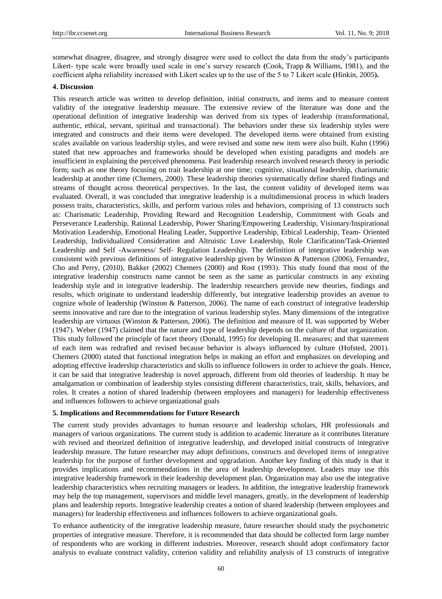somewhat disagree, disagree, and strongly disagree were used to collect the data from the study's participants Likert- type scale were broadly used scale in one's survey research **(**Cook, Trapp & Williams, 1981), and the coefficient alpha reliability increased with Likert scales up to the use of the 5 to 7 Likert scale **(**Hinkin, 2005**).**

## **4. Discussion**

This research article was written to develop definition, initial constructs, and items and to measure content validity of the integrative leadership measure. The extensive review of the literature was done and the operational definition of integrative leadership was derived from six types of leadership (transformational, authentic, ethical, servant, spiritual and transactional). The behaviors under these six leadership styles were integrated and constructs and their items were developed. The developed items were obtained from existing scales available on various leadership styles, and were revised and some new item were also built. Kuhn (1996) stated that new approaches and frameworks should be developed when existing paradigms and models are insufficient in explaining the perceived phenomena. Past leadership research involved research theory in periodic form; such as one theory focusing on trait leadership at one time; cognitive, situational leadership, charismatic leadership at another time (Chemers, 2000). These leadership theories systematically define shared findings and streams of thought across theoretical perspectives. In the last, the content validity of developed items was evaluated. Overall, it was concluded that integrative leadership is a multidimensional process in which leaders possess traits, characteristics, skills, and perform various roles and behaviors, comprising of 13 constructs such as: Charismatic Leadership, Providing Reward and Recognition Leadership, Commitment with Goals and Perseverance Leadership, Rational Leadership, Power Sharing/Empowering Leadership, Visionary/Inspirational Motivation Leadership, Emotional Healing Leader, Supportive Leadership, Ethical Leadership, Team- Oriented Leadership, Individualized Consideration and Altruistic Love Leadership, Role Clarification/Task-Oriented Leadership and Self -Awareness/ Self- Regulation Leadership. The definition of integrative leadership was consistent with previous definitions of integrative leadership given by Winston & Patterson (2006), Fernandez, Cho and Perry, (2010), Bakker (2002) Chemers (2000) and Rost (1993). This study found that most of the integrative leadership constructs name cannot be seen as the same as particular constructs in any existing leadership style and in integrative leadership. The leadership researchers provide new theories, findings and results, which originate to understand leadership differently, but integrative leadership provides an avenue to cognize whole of leadership (Winston & Patterson, 2006). The name of each construct of integrative leadership seems innovative and rare due to the integration of various leadership styles. Many dimensions of the integrative leadership are virtuous (Winston & Patterson, 2006). The definition and measure of IL was supported by Weber (1947). Weber (1947) claimed that the nature and type of leadership depends on the culture of that organization. This study followed the principle of facet theory (Donald, 1995) for developing IL measures; and that statement of each item was redrafted and revised because behavior is always influenced by culture (Hofsted, 2001). Chemers (2000) stated that functional integration helps in making an effort and emphasizes on developing and adopting effective leadership characteristics and skills to influence followers in order to achieve the goals. Hence, it can be said that integrative leadership is novel approach, different from old theories of leadership. It may be amalgamation or combination of leadership styles consisting different characteristics, trait, skills, behaviors, and roles. It creates a notion of shared leadership (between employees and managers) for leadership effectiveness and influences followers to achieve organizational goals

## **5. Implications and Recommendations for Future Research**

The current study provides advantages to human resource and leadership scholars, HR professionals and managers of various organizations. The current study is addition to academic literature as it contributes literature with revised and theorized definition of integrative leadership, and developed initial constructs of integrative leadership measure. The future researcher may adopt definitions, constructs and developed items of integrative leadership for the purpose of further development and upgradation. Another key finding of this study is that it provides implications and recommendations in the area of leadership development. Leaders may use this integrative leadership framework in their leadership development plan. Organization may also use the integrative leadership characteristics when recruiting managers or leaders. In addition, the integrative leadership framework may help the top management, supervisors and middle level managers, greatly, in the development of leadership plans and leadership reports. Integrative leadership creates a notion of shared leadership (between employees and managers) for leadership effectiveness and influences followers to achieve organizational goals.

To enhance authenticity of the integrative leadership measure, future researcher should study the psychometric properties of integrative measure. Therefore, it is recommended that data should be collected form large number of respondents who are working in different industries. Moreover, research should adopt confirmatory factor analysis to evaluate construct validity, criterion validity and reliability analysis of 13 constructs of integrative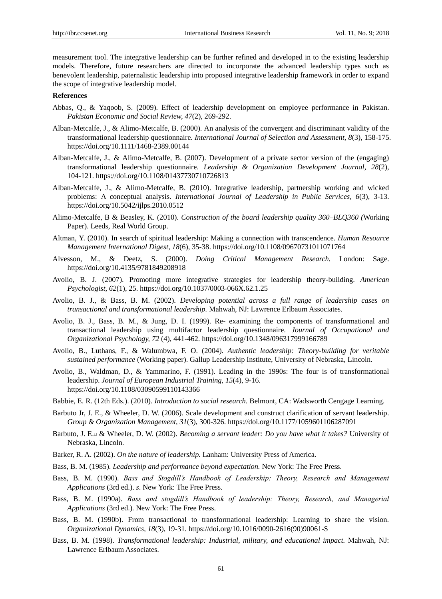measurement tool. The integrative leadership can be further refined and developed in to the existing leadership models. Therefore, future researchers are directed to incorporate the advanced leadership types such as benevolent leadership, paternalistic leadership into proposed integrative leadership framework in order to expand the scope of integrative leadership model.

#### **References**

- Abbas, Q., & Yaqoob, S. (2009). Effect of leadership development on employee performance in Pakistan. *Pakistan Economic and Social Review, 47*(2), 269-292.
- Alban-Metcalfe, J., & Alimo-Metcalfe, B. (2000). An analysis of the convergent and discriminant validity of the transformational leadership questionnaire. *International Journal of Selection and Assessment, 8*(3), 158-175. https://doi.org/10.1111/1468-2389.00144
- Alban-Metcalfe, J., & Alimo-Metcalfe, B. (2007). Development of a private sector version of the (engaging) transformational leadership questionnaire. *Leadership & Organization Development Journal, 28*(2), 104-121. https://doi.org/10.1108/01437730710726813
- Alban-Metcalfe, J., & Alimo-Metcalfe, B. (2010). Integrative leadership, partnership working and wicked problems: A conceptual analysis. *International Journal of Leadership in Public Services, 6*(3), 3-13. https://doi.org/10.5042/ijlps.2010.0512
- Alimo-Metcalfe, B & Beasley, K. (2010). *Construction of the board leadership quality 360–BLQ360 (*Working Paper). Leeds, Real World Group.
- Altman, Y. (2010). In search of spiritual leadership: Making a connection with transcendence. *Human Resource Management International Digest, 18*(6), 35-38. https://doi.org/10.1108/09670731011071764
- Alvesson, M., & Deetz, S. (2000). *Doing Critical Management Research.* London: Sage. https://doi.org/10.4135/9781849208918
- Avolio, B. J. (2007). Promoting more integrative strategies for leadership theory-building. *American Psychologist, 62*(1), 25. https://doi.org/10.1037/0003-066X.62.1.25
- Avolio, B. J., & Bass, B. M. (2002). *Developing potential across a full range of leadership cases on transactional and transformational leadership.* Mahwah, NJ: Lawrence Erlbaum Associates.
- Avolio, B. J., Bass, B. M., & Jung, D. I. (1999). Re- examining the components of transformational and transactional leadership using multifactor leadership questionnaire. *Journal of Occupational and Organizational Psychology, 72* (4), 441-462. https://doi.org/10.1348/096317999166789
- Avolio, B., Luthans, F., & Walumbwa, F. O. (2004). *Authentic leadership: Theory-building for veritable sustained performance* (Working paper). Gallup Leadership Institute, University of Nebraska, Lincoln.
- Avolio, B., Waldman, D., & Yammarino, F. (1991). Leading in the 1990s: The four is of transformational leadership. *Journal of European Industrial Training, 15*(4), 9-16. https://doi.org/10.1108/03090599110143366
- Babbie, E. R. (12th Eds.). (2010). *Introduction to social research.* Belmont, CA: Wadsworth Cengage Learning.
- Barbuto Jr, J. E., & Wheeler, D. W. (2006). Scale development and construct clarification of servant leadership. *Group & Organization Management, 31*(3), 300-326. https://doi.org/10.1177/1059601106287091
- Barbuto, J. E.ม & Wheeler, D. W. (2002). *Becoming a servant leader: Do you have what it takes?* University of Nebraska, Lincoln.
- Barker, R. A. (2002). *On the nature of leadership.* Lanham: University Press of America.
- Bass, B. M. (1985). *Leadership and performance beyond expectation.* New York: The Free Press.
- Bass, B. M. (1990). *Bass and Stogdill's Handbook of Leadership: Theory, Research and Management Applications* (3rd ed.). *s*. New York: The Free Press.
- Bass, B. M. (1990a). *Bass and stogdill's Handbook of leadership: Theory, Research, and Managerial Applications* (3rd ed.)*.* New York: The Free Press.
- Bass, B. M. (1990b). From transactional to transformational leadership: Learning to share the vision. *Organizational Dynamics, 18*(3), 19-31. https://doi.org/10.1016/0090-2616(90)90061-S
- Bass, B. M. (1998). *Transformational leadership: Industrial, military, and educational impact.* Mahwah, NJ: Lawrence Erlbaum Associates.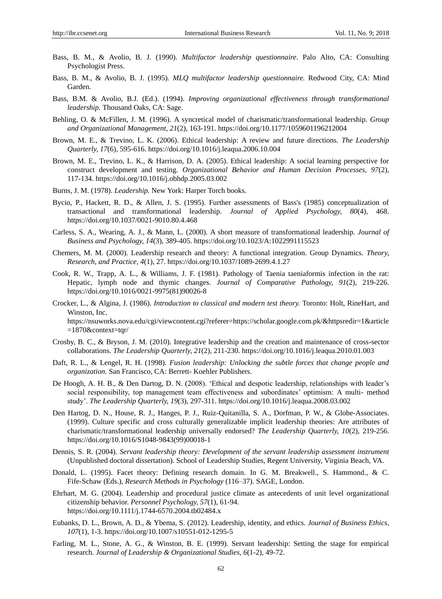- Bass, B. M., & Avolio, B. J. (1990). *Multifactor leadership questionnaire*. Palo Alto, CA: Consulting Psychologist Press.
- Bass, B. M., & Avolio, B. J. (1995). *MLQ multifactor leadership questionnaire.* Redwood City, CA: Mind Garden.
- Bass, B.M. & Avolio, B.J. (Ed.). (1994). *Improving organizational effectiveness through transformational leadership.* Thousand Oaks, CA: Sage.
- Behling, O. & McFillen, J. M. (1996). A syncretical model of charismatic/transformational leadership. *Group and Organizational Management, 21*(2), 163-191. https://doi.org/10.1177/1059601196212004
- Brown, M. E., & Trevino, L. K. (2006). Ethical leadership: A review and future directions. *The Leadership Quarterly, 17*(6), 595-616. https://doi.org/10.1016/j.leaqua.2006.10.004
- Brown, M. E., Trevino, L. K., & Harrison, D. A. (2005). Ethical leadership: A social learning perspective for construct development and testing. *Organizational Behavior and Human Decision Processes, 97*(2), 117-134. https://doi.org/10.1016/j.obhdp.2005.03.002
- Burns, J. M. (1978). *Leadership.* New York: Harper Torch books.
- Bycio, P., Hackett, R. D., & Allen, J. S. (1995). Further assessments of Bass's (1985) conceptualization of transactional and transformational leadership. *Journal of Applied Psychology, 80*(4), 468. https://doi.org/10.1037/0021-9010.80.4.468
- Carless, S. A., Wearing, A. J., & Mann, L. (2000). A short measure of transformational leadership. *Journal of Business and Psychology, 14*(3), 389-405. https://doi.org/10.1023/A:1022991115523
- Chemers, M. M. (2000). Leadership research and theory: A functional integration. Group Dynamics. *Theory, Research, and Practice, 4*(1), 27. https://doi.org/10.1037/1089-2699.4.1.27
- Cook, R. W., Trapp, A. L., & Williams, J. F. (1981). Pathology of Taenia taeniaformis infection in the rat: Hepatic, lymph node and thymic changes. *Journal of Comparative Pathology, 91*(2), 219-226. https://doi.org/10.1016/0021-9975(81)90026-8
- Crocker, L., & Algina, J. (1986). *Introduction to classical and modern test theory.* Toronto: Holt, RineHart, and Winston, Inc. [https://nsuworks.nova.edu/cgi/viewcontent.cgi?referer=https://scholar.google.com.pk/&httpsredir=1&article](https://nsuworks.nova.edu/cgi/viewcontent.cgi?referer=https://scholar.google.com.pk/&httpsredir=1&article=1870&context=tqr/) [=1870&context=tqr/](https://nsuworks.nova.edu/cgi/viewcontent.cgi?referer=https://scholar.google.com.pk/&httpsredir=1&article=1870&context=tqr/)
- Crosby, B. C., & Bryson, J. M. (2010). Integrative leadership and the creation and maintenance of cross-sector collaborations. *The Leadership Quarterly, 21*(2), 211-230. https://doi.org/10.1016/j.leaqua.2010.01.003
- Daft, R. L., & Lengel, R. H. (1998). *Fusion leadership: Unlocking the subtle forces that change people and organization.* San Francisco, CA: Berrett- Koehler Publishers.
- De Hoogh, A. H. B., & Den Dartog, D. N. (2008). 'Ethical and despotic leadership, relationships with leader's social responsibility, top management team effectiveness and subordinates' optimism: A multi- method study'. *The Leadership Quarterly, 19*(3), 297-311. https://doi.org/10.1016/j.leaqua.2008.03.002
- Den Hartog, D. N., House, R. J., Hanges, P. J., Ruiz-Quitanilla, S. A., Dorfman, P. W., & Globe-Associates. (1999). Culture specific and cross culturally generalizable implicit leadership theories: Are attributes of charismatic/transformational leadership universally endorsed? *The Leadership Quarterly, 10*(2), 219-256. https://doi.org/10.1016/S1048-9843(99)00018-1
- Dennis, S. R. (2004). *Servant leadership theory: Development of the servant leadership assessment instrument* (Unpublished doctoral dissertation). School of Leadership Studies, Regent University, Virginia Beach, VA.
- Donald, L. (1995). Facet theory: Defining research domain. In G. M. Breakwell., S. Hammond., & C. Fife-Schaw (Eds.), *Research Methods in Psychology* (116–37). SAGE, London.
- Ehrhart, M. G. (2004). Leadership and procedural justice climate as antecedents of unit level organizational citizenship behavior. *Personnel Psychology, 57*(1), 61-94. https://doi.org/10.1111/j.1744-6570.2004.tb02484.x
- Eubanks, D. L., Brown, A. D., & Ybema, S. (2012). Leadership, identity, and ethics. *Journal of Business Ethics, 107*(1), 1-3. https://doi.org/10.1007/s10551-012-1295-5
- Farling, M. L., Stone, A. G., & Winston, B. E. (1999). Servant leadership: Setting the stage for empirical research. *Journal of Leadership & Organizational Studies, 6*(1-2), 49-72.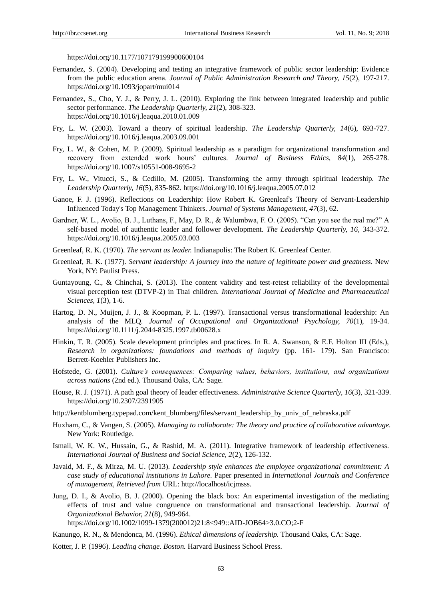https://doi.org/10.1177/107179199900600104

- Fernandez, S. (2004). Developing and testing an integrative framework of public sector leadership: Evidence from the public education arena. *Journal of Public Administration Research and Theory, 15*(2), 197-217. https://doi.org/10.1093/jopart/mui014
- Fernandez, S., Cho, Y. J., & Perry, J. L. (2010). Exploring the link between integrated leadership and public sector performance. *The Leadership Quarterly, 21*(2), 308-323. https://doi.org/10.1016/j.leaqua.2010.01.009
- Fry, L. W. (2003). Toward a theory of spiritual leadership. *The Leadership Quarterly, 14*(6), 693-727. https://doi.org/10.1016/j.leaqua.2003.09.001
- Fry, L. W., & Cohen, M. P. (2009). Spiritual leadership as a paradigm for organizational transformation and recovery from extended work hours' cultures. *Journal of Business Ethics, 84*(1), 265-278. https://doi.org/10.1007/s10551-008-9695-2
- Fry, L. W., Vitucci, S., & Cedillo, M. (2005). Transforming the army through spiritual leadership. *The Leadership Quarterly, 16*(5), 835-862. https://doi.org/10.1016/j.leaqua.2005.07.012
- Ganoe, F. J. (1996). Reflections on Leadership: How Robert K. Greenleaf's Theory of Servant-Leadership Influenced Today's Top Management Thinkers. *Journal of Systems Management, 47*(3), 62.
- Gardner, W. L., Avolio, B. J., Luthans, F., May, D. R., & Walumbwa, F. O. (2005). "Can you see the real me?" A self-based model of authentic leader and follower development. *The Leadership Quarterly, 16*, 343-372. https://doi.org/10.1016/j.leaqua.2005.03.003
- Greenleaf, R. K. (1970). *The servant as leader.* Indianapolis: The Robert K. Greenleaf Center.
- Greenleaf, R. K. (1977). *Servant leadership: A journey into the nature of legitimate power and greatness.* New York, NY: Paulist Press.
- Guntayoung, C., & Chinchai, S. (2013). The content validity and test-retest reliability of the developmental visual perception test (DTVP-2) in Thai children. *International Journal of Medicine and Pharmaceutical Sciences, 1*(3), 1-6.
- Hartog, D. N., Muijen, J. J., & Koopman, P. L. (1997). Transactional versus transformational leadership: An analysis of the MLQ. *Journal of Occupational and Organizational Psychology, 70*(1), 19-34. https://doi.org/10.1111/j.2044-8325.1997.tb00628.x
- Hinkin, T. R. (2005). Scale development principles and practices. In R. A. Swanson, & E.F. Holton III (Eds.), *Research in organizations: foundations and methods of inquiry* (pp. 161- 179). San Francisco: Berrett-Koehler Publishers Inc.
- Hofstede, G. (2001). *Culture's consequences: Comparing values, behaviors, institutions, and organizations across nations* (2nd ed.). Thousand Oaks, CA: Sage.
- House, R. J. (1971). A path goal theory of leader effectiveness. *Administrative Science Quarterly, 16*(3), 321-339. https://doi.org/10.2307/2391905
- http://kentblumberg.typepad.com/kent\_blumberg/files/servant\_leadership\_by\_univ\_of\_nebraska.pdf
- Huxham, C., & Vangen, S. (2005). *Managing to collaborate: The theory and practice of collaborative advantage.*  New York: Routledge.
- Ismail, W. K. W., Hussain, G., & Rashid, M. A. (2011). Integrative framework of leadership effectiveness. *International Journal of Business and Social Science, 2*(2), 126-132.
- Javaid, M. F., & Mirza, M. U. (2013). *Leadership style enhances the employee organizational commitment: A case study of educational institutions in Lahore.* Paper presented in *International Journals and Conference of management, Retrieved from* URL: http://localhost/icjmsss.
- Jung, D. I., & Avolio, B. J. (2000). Opening the black box: An experimental investigation of the mediating effects of trust and value congruence on transformational and transactional leadership. *Journal of Organizational Behavior, 21*(8), 949-964.

https://doi.org/10.1002/1099-1379(200012)21:8<949::AID-JOB64>3.0.CO;2-F

Kanungo, R. N., & Mendonca, M. (1996). *Ethical dimensions of leadership.* Thousand Oaks, CA: Sage.

Kotter, J. P. (1996). *Leading change. Boston.* Harvard Business School Press.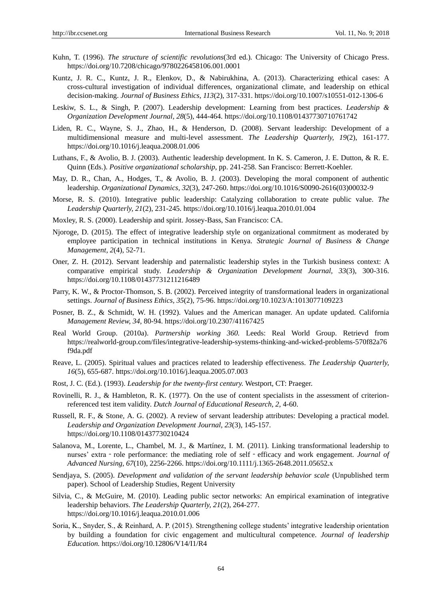- Kuhn, T. (1996). *The structure of scientific revolutions*(3rd ed.)*.* Chicago: The University of Chicago Press. https://doi.org/10.7208/chicago/9780226458106.001.0001
- Kuntz, J. R. C., Kuntz, J. R., Elenkov, D., & Nabirukhina, A. (2013). Characterizing ethical cases: A cross-cultural investigation of individual differences, organizational climate, and leadership on ethical decision-making. *Journal of Business Ethics, 113*(2), 317-331. https://doi.org/10.1007/s10551-012-1306-6
- Leskiw, S. L., & Singh, P. (2007). Leadership development: Learning from best practices. *Leadership & Organization Development Journal, 28*(5), 444-464. https://doi.org/10.1108/01437730710761742
- Liden, R. C., Wayne, S. J., Zhao, H., & Henderson, D. (2008). Servant leadership: Development of a multidimensional measure and multi-level assessment. *The Leadership Quarterly, 19*(2), 161-177. https://doi.org/10.1016/j.leaqua.2008.01.006
- Luthans, F., & Avolio, B. J. (2003). Authentic leadership development. In K. S. Cameron, J. E. Dutton, & R. E. Quinn (Eds.). *Positive organizational scholarship*, pp. 241-258. San Francisco: Berrett-Koehler.
- May, D. R., Chan, A., Hodges, T., & Avolio, B. J. (2003). Developing the moral component of authentic leadership. *Organizational Dynamics, 32*(3), 247-260. https://doi.org/10.1016/S0090-2616(03)00032-9
- Morse, R. S. (2010). Integrative public leadership: Catalyzing collaboration to create public value. *The Leadership Quarterly, 21*(2), 231-245. https://doi.org/10.1016/j.leaqua.2010.01.004
- Moxley, R. S. (2000). Leadership and spirit. Jossey-Bass, San Francisco: CA.
- Njoroge, D. (2015). The effect of integrative leadership style on organizational commitment as moderated by employee participation in technical institutions in Kenya. *Strategic Journal of Business & Change Management, 2*(4), 52-71.
- Oner, Z. H. (2012). Servant leadership and paternalistic leadership styles in the Turkish business context: A comparative empirical study. *Leadership & Organization Development Journal, 33*(3), 300-316. https://doi.org/10.1108/01437731211216489
- Parry, K. W., & Proctor-Thomson, S. B. (2002). Perceived integrity of transformational leaders in organizational settings. *Journal of Business Ethics, 35*(2), 75-96. https://doi.org/10.1023/A:1013077109223
- Posner, B. Z., & Schmidt, W. H. (1992). Values and the American manager. An update updated. California *Management Review, 34,* 80-94. https://doi.org/10.2307/41167425
- Real World Group. (2010a). *Partnership working 360.* Leeds: Real World Group. Retrievd from https://realworld-group.com/files/integrative-leadership-systems-thinking-and-wicked-problems-570f82a76 f9da.pdf
- Reave, L. (2005). Spiritual values and practices related to leadership effectiveness. *The Leadership Quarterly, 16*(5), 655-687. https://doi.org/10.1016/j.leaqua.2005.07.003
- Rost, J. C. (Ed.). (1993). *Leadership for the twenty-first century.* Westport, CT: Praeger.
- Rovinelli, R. J., & Hambleton, R. K. (1977). On the use of content specialists in the assessment of criterionreferenced test item validity. *Dutch Journal of Educational Research, 2,* 4-60.
- Russell, R. F., & Stone, A. G. (2002). A review of servant leadership attributes: Developing a practical model. *Leadership and Organization Development Journal, 23*(3), 145-157. https://doi.org/10.1108/01437730210424
- Salanova, M., Lorente, L., Chambel, M. J., & Mart nez, I. M. (2011). Linking transformational leadership to nurses' extra - role performance: the mediating role of self - efficacy and work engagement. *Journal of Advanced Nursing, 67*(10), 2256-2266. https://doi.org/10.1111/j.1365-2648.2011.05652.x
- Sendjaya, S. (2005). *Development and validation of the servant leadership behavior scale* (Unpublished term paper). School of Leadership Studies, Regent University
- Silvia, C., & McGuire, M. (2010). Leading public sector networks: An empirical examination of integrative leadership behaviors. *The Leadership Quarterly, 21*(2), 264-277. https://doi.org/10.1016/j.leaqua.2010.01.006
- Soria, K., Snyder, S., & Reinhard, A. P. (2015). Strengthening college students' integrative leadership orientation by building a foundation for civic engagement and multicultural competence. *Journal of leadership Education.* https://doi.org/10.12806/V14/I1/R4